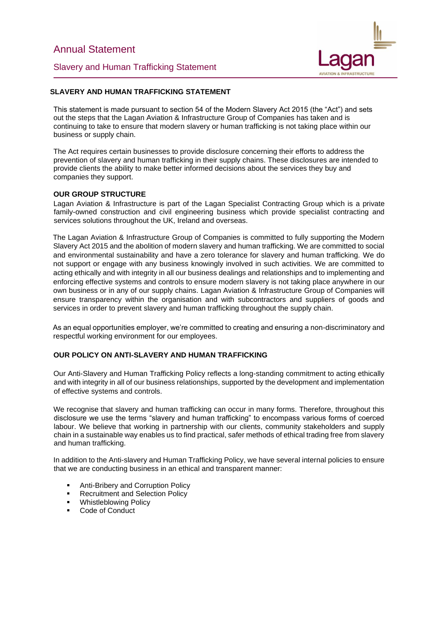Slavery and Human Trafficking Statement



# **SLAVERY AND HUMAN TRAFFICKING STATEMENT**

This statement is made pursuant to section 54 of the Modern Slavery Act 2015 (the "Act") and sets out the steps that the Lagan Aviation & Infrastructure Group of Companies has taken and is continuing to take to ensure that modern slavery or human trafficking is not taking place within our business or supply chain.

The Act requires certain businesses to provide disclosure concerning their efforts to address the prevention of slavery and human trafficking in their supply chains. These disclosures are intended to provide clients the ability to make better informed decisions about the services they buy and companies they support.

## **OUR GROUP STRUCTURE**

Lagan Aviation & Infrastructure is part of the Lagan Specialist Contracting Group which is a private family-owned construction and civil engineering business which provide specialist contracting and services solutions throughout the UK, Ireland and overseas.

The Lagan Aviation & Infrastructure Group of Companies is committed to fully supporting the Modern Slavery Act 2015 and the abolition of modern slavery and human trafficking. We are committed to social and environmental sustainability and have a zero tolerance for slavery and human trafficking. We do not support or engage with any business knowingly involved in such activities. We are committed to acting ethically and with integrity in all our business dealings and relationships and to implementing and enforcing effective systems and controls to ensure modern slavery is not taking place anywhere in our own business or in any of our supply chains. Lagan Aviation & Infrastructure Group of Companies will ensure transparency within the organisation and with subcontractors and suppliers of goods and services in order to prevent slavery and human trafficking throughout the supply chain.

As an equal opportunities employer, we're committed to creating and ensuring a non-discriminatory and respectful working environment for our employees.

## **OUR POLICY ON ANTI-SLAVERY AND HUMAN TRAFFICKING**

Our Anti-Slavery and Human Trafficking Policy reflects a long-standing commitment to acting ethically and with integrity in all of our business relationships, supported by the development and implementation of effective systems and controls.

We recognise that slavery and human trafficking can occur in many forms. Therefore, throughout this disclosure we use the terms "slavery and human trafficking" to encompass various forms of coerced labour. We believe that working in partnership with our clients, community stakeholders and supply chain in a sustainable way enables us to find practical, safer methods of ethical trading free from slavery and human trafficking.

In addition to the Anti-slavery and Human Trafficking Policy, we have several internal policies to ensure that we are conducting business in an ethical and transparent manner:

- Anti-Bribery and Corruption Policy
- **Recruitment and Selection Policy**
- **Whistleblowing Policy**
- Code of Conduct